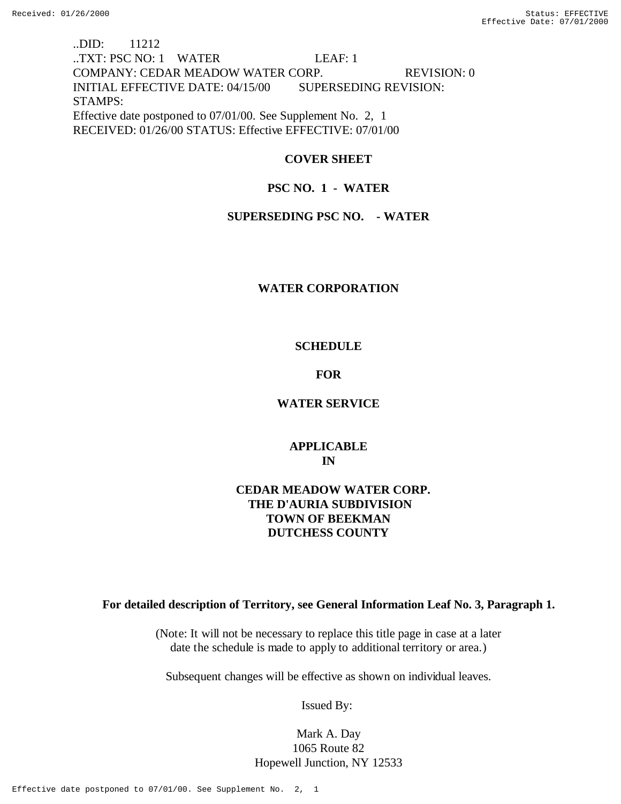# ..DID: 11212 ..TXT: PSC NO: 1 WATER LEAF: 1 COMPANY: CEDAR MEADOW WATER CORP. REVISION: 0 INITIAL EFFECTIVE DATE: 04/15/00 SUPERSEDING REVISION: STAMPS: Effective date postponed to 07/01/00. See Supplement No. 2, 1 RECEIVED: 01/26/00 STATUS: Effective EFFECTIVE: 07/01/00

# **COVER SHEET**

# **PSC NO. 1 - WATER**

## **SUPERSEDING PSC NO. - WATER**

## **WATER CORPORATION**

# **SCHEDULE**

## **FOR**

# **WATER SERVICE**

# **APPLICABLE IN**

# **CEDAR MEADOW WATER CORP. THE D'AURIA SUBDIVISION TOWN OF BEEKMAN DUTCHESS COUNTY**

## **For detailed description of Territory, see General Information Leaf No. 3, Paragraph 1.**

(Note: It will not be necessary to replace this title page in case at a later date the schedule is made to apply to additional territory or area.)

Subsequent changes will be effective as shown on individual leaves.

Issued By:

Mark A. Day 1065 Route 82 Hopewell Junction, NY 12533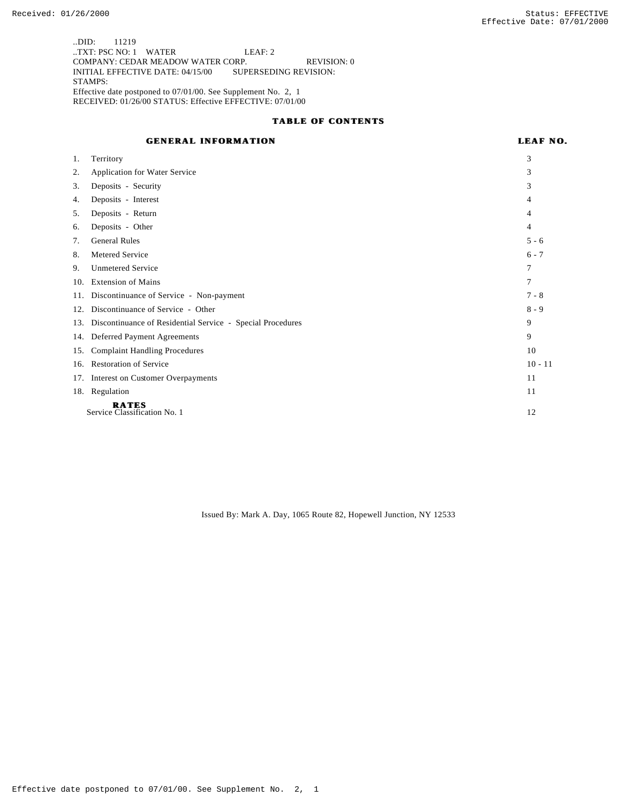..DID: 11219 ..TXT: PSC NO: 1 WATER LEAF: 2 COMPANY: CEDAR MEADOW WATER CORP. REVISION: 0 INITIAL EFFECTIVE DATE: 04/15/00 SUPERSEDING REVISION: STAMPS: Effective date postponed to 07/01/00. See Supplement No. 2, 1 RECEIVED: 01/26/00 STATUS: Effective EFFECTIVE: 07/01/00

### **TABLE OF CONTENTS**

## **GENERAL INFORMATION**

| ar i<br>,,<br>. . | ۰. |
|-------------------|----|
|-------------------|----|

| 1.  | Territory                                                      | 3         |
|-----|----------------------------------------------------------------|-----------|
| 2.  | <b>Application for Water Service</b>                           | 3         |
| 3.  | Deposits - Security                                            | 3         |
| 4.  | Deposits - Interest                                            | 4         |
| 5.  | Deposits - Return                                              | 4         |
| 6.  | Deposits - Other                                               | 4         |
| 7.  | <b>General Rules</b>                                           | $5 - 6$   |
| 8.  | Metered Service                                                | $6 - 7$   |
| 9.  | <b>Unmetered Service</b>                                       | 7         |
| 10. | <b>Extension of Mains</b>                                      | 7         |
| 11. | Discontinuance of Service - Non-payment                        | $7 - 8$   |
| 12. | Discontinuance of Service - Other                              | $8 - 9$   |
|     | 13. Discontinuance of Residential Service - Special Procedures | 9         |
|     | 14. Deferred Payment Agreements                                | 9         |
| 15. | <b>Complaint Handling Procedures</b>                           | 10        |
| 16. | Restoration of Service                                         | $10 - 11$ |
|     | 17. Interest on Customer Overpayments                          | 11        |
|     | 18. Regulation                                                 | 11        |
|     | <b>RATES</b><br>Service Classification No. 1<br>12             |           |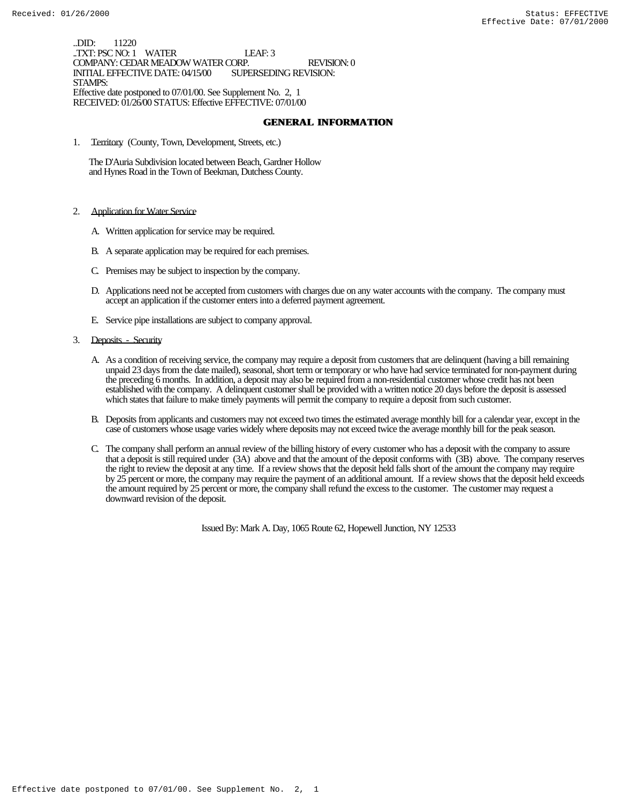..DID: 11220 ..TXT: PSC NO: 1 WATER LEAF: 3 COMPANY: CEDAR MEADOW WATER CORP. REVISION: 0 INITIAL EFFECTIVE DATE: 04/15/00 STAMPS: Effective date postponed to 07/01/00. See Supplement No. 2, 1 RECEIVED: 01/26/00 STATUS: Effective EFFECTIVE: 07/01/00

### **GENERAL INFORMATION**

1. Territory (County, Town, Development, Streets, etc.)

 The D'Auria Subdivision located between Beach, Gardner Hollow and Hynes Road in the Town of Beekman, Dutchess County.

- 2. Application for Water Service
	- A. Written application for service may be required.
	- B. A separate application may be required for each premises.
	- C. Premises may be subject to inspection by the company.
	- D. Applications need not be accepted from customers with charges due on any water accounts with the company. The company must accept an application if the customer enters into a deferred payment agreement.
	- E. Service pipe installations are subject to company approval.
- 3. Deposits Security
	- A. As a condition of receiving service, the company may require a deposit from customers that are delinquent (having a bill remaining unpaid 23 days from the date mailed), seasonal, short term or temporary or who have had service terminated for non-payment during the preceding 6 months. In addition, a deposit may also be required from a non-residential customer whose credit has not been established with the company. A delinquent customer shall be provided with a written notice 20 days before the deposit is assessed which states that failure to make timely payments will permit the company to require a deposit from such customer.
	- B. Deposits from applicants and customers may not exceed two times the estimated average monthly bill for a calendar year, except in the case of customers whose usage varies widely where deposits may not exceed twice the average monthly bill for the peak season.
	- C. The company shall perform an annual review of the billing history of every customer who has a deposit with the company to assure that a deposit is still required under (3A) above and that the amount of the deposit conforms with (3B) above. The company reserves the right to review the deposit at any time. If a review shows that the deposit held falls short of the amount the company may require by 25 percent or more, the company may require the payment of an additional amount. If a review shows that the deposit held exceeds the amount required by 25 percent or more, the company shall refund the excess to the customer. The customer may request a downward revision of the deposit.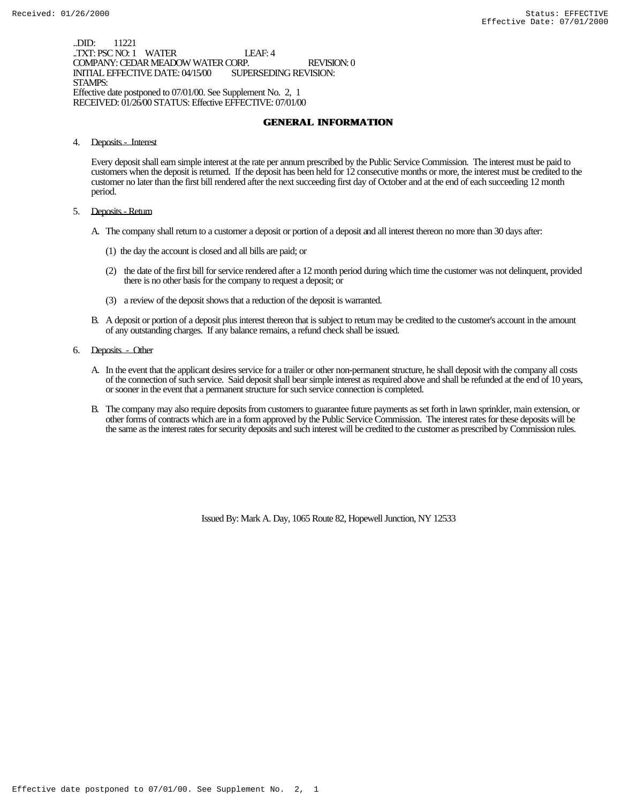..DID: 11221 ..TXT: PSC NO: 1 WATER LEAF: 4 COMPANY: CEDAR MEADOW WATER CORP. REVISION: 0 INITIAL EFFECTIVE DATE: 04/15/00 STAMPS: Effective date postponed to 07/01/00. See Supplement No. 2, 1 RECEIVED: 01/26/00 STATUS: Effective EFFECTIVE: 07/01/00

## **GENERAL INFORMATION**

4. Deposits - Interest

Every deposit shall earn simple interest at the rate per annum prescribed by the Public Service Commission. The interest must be paid to customers when the deposit is returned. If the deposit has been held for 12 consecutive months or more, the interest must be credited to the customer no later than the first bill rendered after the next succeeding first day of October and at the end of each succeeding 12 month period.

- 5. Deposits Return
	- A. The company shall return to a customer a deposit or portion of a deposit and all interest thereon no more than 30 days after:
		- (1) the day the account is closed and all bills are paid; or
		- (2) the date of the first bill for service rendered after a 12 month period during which time the customer was not delinquent, provided there is no other basis for the company to request a deposit; or
		- (3) a review of the deposit shows that a reduction of the deposit is warranted.
	- B. A deposit or portion of a deposit plus interest thereon that is subject to return may be credited to the customer's account in the amount of any outstanding charges. If any balance remains, a refund check shall be issued.
- 6. Deposits Other
	- A. In the event that the applicant desires service for a trailer or other non-permanent structure, he shall deposit with the company all costs of the connection of such service. Said deposit shall bear simple interest as required above and shall be refunded at the end of 10 years, or sooner in the event that a permanent structure for such service connection is completed.
	- B. The company may also require deposits from customers to guarantee future payments as set forth in lawn sprinkler, main extension, or other forms of contracts which are in a form approved by the Public Service Commission. The interest rates for these deposits will be the same as the interest rates for security deposits and such interest will be credited to the customer as prescribed by Commission rules.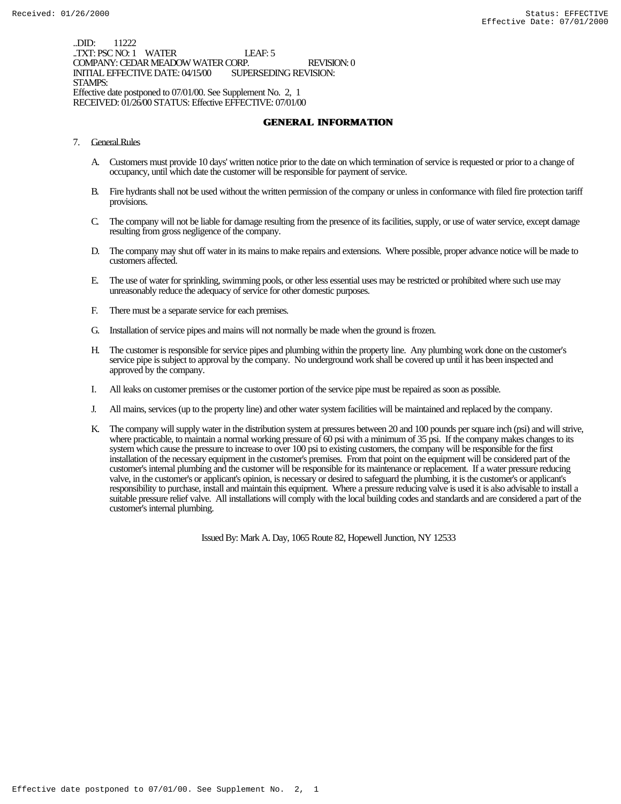..DID: 11222 ..TXT: PSC NO: 1 WATER LEAF: 5 COMPANY: CEDAR MEADOW WATER CORP. REVISION: 0 INITIAL EFFECTIVE DATE: 04/15/00 STAMPS: Effective date postponed to 07/01/00. See Supplement No. 2, 1 RECEIVED: 01/26/00 STATUS: Effective EFFECTIVE: 07/01/00

## **GENERAL INFORMATION**

- 7. General Rules
	- A. Customers must provide 10 days' written notice prior to the date on which termination of service is requested or prior to a change of occupancy, until which date the customer will be responsible for payment of service.
	- B. Fire hydrants shall not be used without the written permission of the company or unless in conformance with filed fire protection tariff provisions.
	- C. The company will not be liable for damage resulting from the presence of its facilities, supply, or use of water service, except damage resulting from gross negligence of the company.
	- D. The company may shut off water in its mains to make repairs and extensions. Where possible, proper advance notice will be made to customers affected.
	- E. The use of water for sprinkling, swimming pools, or other less essential uses may be restricted or prohibited where such use may unreasonably reduce the adequacy of service for other domestic purposes.
	- F. There must be a separate service for each premises.
	- G. Installation of service pipes and mains will not normally be made when the ground is frozen.
	- H. The customer is responsible for service pipes and plumbing within the property line. Any plumbing work done on the customer's service pipe is subject to approval by the company. No underground work shall be covered up until it has been inspected and approved by the company.
	- I. All leaks on customer premises or the customer portion of the service pipe must be repaired as soon as possible.
	- J. All mains, services (up to the property line) and other water system facilities will be maintained and replaced by the company.
	- K. The company will supply water in the distribution system at pressures between 20 and 100 pounds per square inch (psi) and will strive, where practicable, to maintain a normal working pressure of 60 psi with a minimum of 35 psi. If the company makes changes to its system which cause the pressure to increase to over 100 psi to existing customers, the company will be responsible for the first installation of the necessary equipment in the customer's premises. From that point on the equipment will be considered part of the customer's internal plumbing and the customer will be responsible for its maintenance or replacement. If a water pressure reducing valve, in the customer's or applicant's opinion, is necessary or desired to safeguard the plumbing, it is the customer's or applicant's responsibility to purchase, install and maintain this equipment. Where a pressure reducing valve is used it is also advisable to install a suitable pressure relief valve. All installations will comply with the local building codes and standards and are considered a part of the customer's internal plumbing.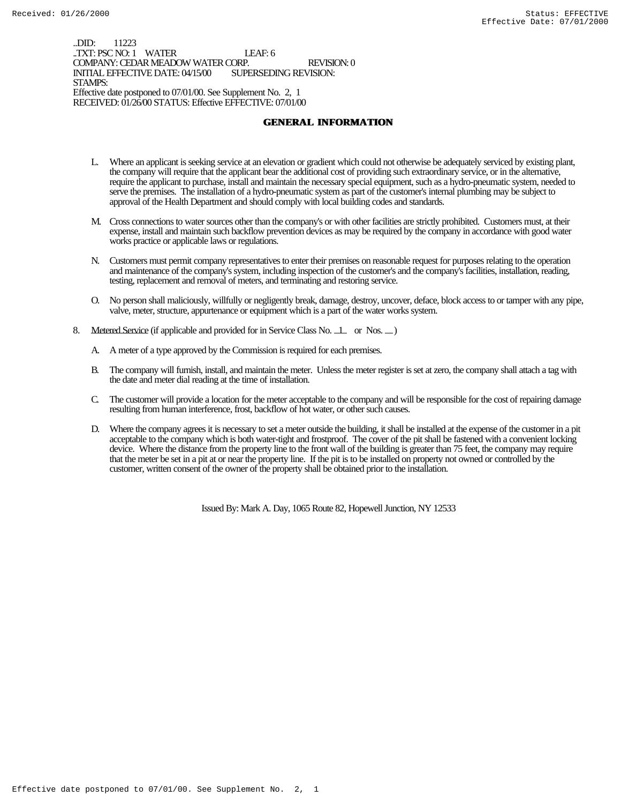..DID: 11223 ..TXT: PSC NO: 1 WATER LEAF: 6 COMPANY: CEDAR MEADOW WATER CORP. REVISION: 0 INITIAL EFFECTIVE DATE: 04/15/00 STAMPS: Effective date postponed to 07/01/00. See Supplement No. 2, 1 RECEIVED: 01/26/00 STATUS: Effective EFFECTIVE: 07/01/00

## **GENERAL INFORMATION**

- L. Where an applicant is seeking service at an elevation or gradient which could not otherwise be adequately serviced by existing plant, the company will require that the applicant bear the additional cost of providing such extraordinary service, or in the alternative, require the applicant to purchase, install and maintain the necessary special equipment, such as a hydro-pneumatic system, needed to serve the premises. The installation of a hydro-pneumatic system as part of the customer's internal plumbing may be subject to approval of the Health Department and should comply with local building codes and standards.
- M. Cross connections to water sources other than the company's or with other facilities are strictly prohibited. Customers must, at their expense, install and maintain such backflow prevention devices as may be required by the company in accordance with good water works practice or applicable laws or regulations.
- N. Customers must permit company representatives to enter their premises on reasonable request for purposes relating to the operation and maintenance of the company's system, including inspection of the customer's and the company's facilities, installation, reading, testing, replacement and removal of meters, and terminating and restoring service.
- O. No person shall maliciously, willfully or negligently break, damage, destroy, uncover, deface, block access to or tamper with any pipe, valve, meter, structure, appurtenance or equipment which is a part of the water works system.
- 8. Metered Service (if applicable and provided for in Service Class No. 1 or Nos. )
	- A. A meter of a type approved by the Commission is required for each premises.
	- B. The company will furnish, install, and maintain the meter. Unless the meter register is set at zero, the company shall attach a tag with the date and meter dial reading at the time of installation.
	- C. The customer will provide a location for the meter acceptable to the company and will be responsible for the cost of repairing damage resulting from human interference, frost, backflow of hot water, or other such causes.
	- D. Where the company agrees it is necessary to set a meter outside the building, it shall be installed at the expense of the customer in a pit acceptable to the company which is both water-tight and frostproof. The cover of the pit shall be fastened with a convenient locking device. Where the distance from the property line to the front wall of the building is greater than 75 feet, the company may require that the meter be set in a pit at or near the property line. If the pit is to be installed on property not owned or controlled by the customer, written consent of the owner of the property shall be obtained prior to the installation.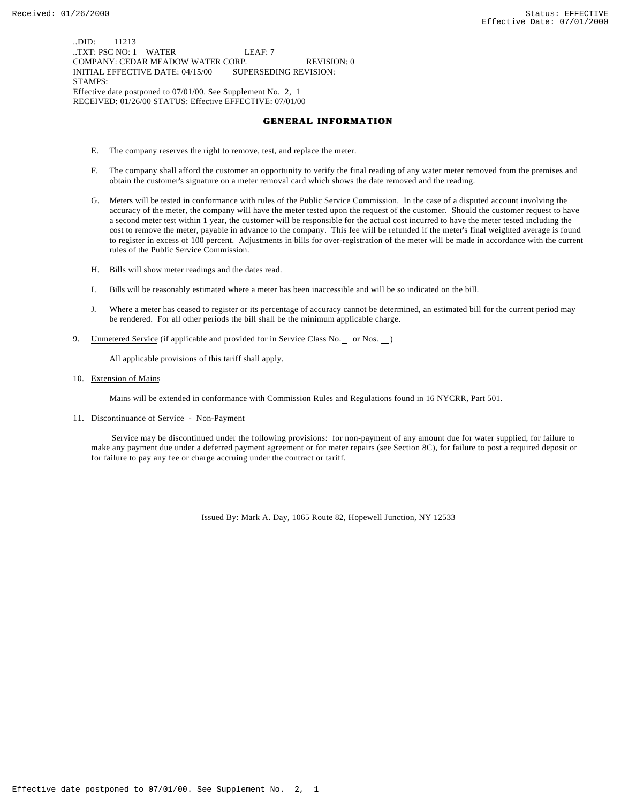..DID: 11213 ..TXT: PSC NO: 1 WATER LEAF: 7 COMPANY: CEDAR MEADOW WATER CORP. REVISION: 0 INITIAL EFFECTIVE DATE: 04/15/00 SUPERSEDING REVISION: STAMPS: Effective date postponed to 07/01/00. See Supplement No. 2, 1 RECEIVED: 01/26/00 STATUS: Effective EFFECTIVE: 07/01/00

### **GENERAL INFORMATION**

- E. The company reserves the right to remove, test, and replace the meter.
- F. The company shall afford the customer an opportunity to verify the final reading of any water meter removed from the premises and obtain the customer's signature on a meter removal card which shows the date removed and the reading.
- G. Meters will be tested in conformance with rules of the Public Service Commission. In the case of a disputed account involving the accuracy of the meter, the company will have the meter tested upon the request of the customer. Should the customer request to have a second meter test within 1 year, the customer will be responsible for the actual cost incurred to have the meter tested including the cost to remove the meter, payable in advance to the company. This fee will be refunded if the meter's final weighted average is found to register in excess of 100 percent. Adjustments in bills for over-registration of the meter will be made in accordance with the current rules of the Public Service Commission.
- H. Bills will show meter readings and the dates read.
- I. Bills will be reasonably estimated where a meter has been inaccessible and will be so indicated on the bill.
- J. Where a meter has ceased to register or its percentage of accuracy cannot be determined, an estimated bill for the current period may be rendered. For all other periods the bill shall be the minimum applicable charge.
- 9. Unmetered Service (if applicable and provided for in Service Class No. \_ or Nos. \_)

All applicable provisions of this tariff shall apply.

10. Extension of Mains

Mains will be extended in conformance with Commission Rules and Regulations found in 16 NYCRR, Part 501.

11. Discontinuance of Service - Non-Payment

 Service may be discontinued under the following provisions: for non-payment of any amount due for water supplied, for failure to make any payment due under a deferred payment agreement or for meter repairs (see Section 8C), for failure to post a required deposit or for failure to pay any fee or charge accruing under the contract or tariff.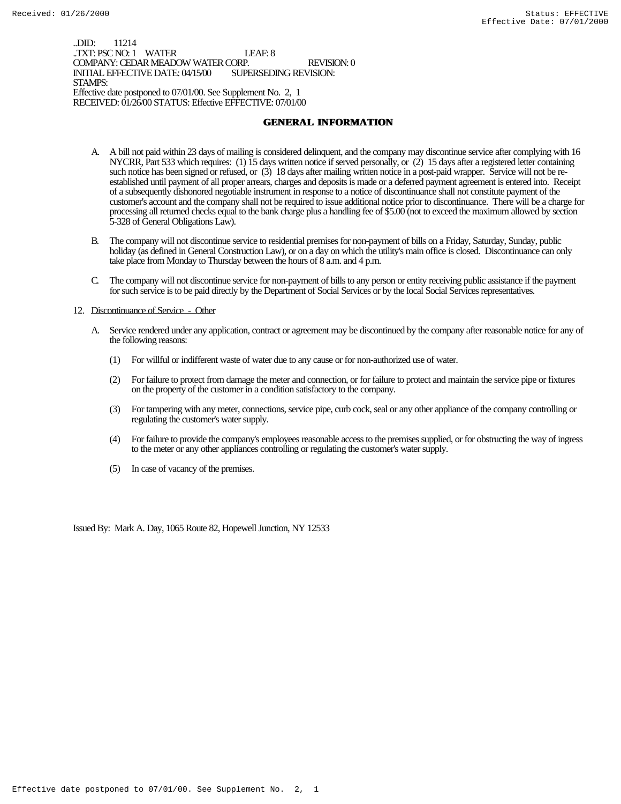..DID: 11214 ..TXT: PSC NO: 1 WATER LEAF: 8 COMPANY: CEDAR MEADOW WATER CORP. REVISION: 0 INITIAL EFFECTIVE DATE: 04/15/00 STAMPS: Effective date postponed to 07/01/00. See Supplement No. 2, 1 RECEIVED: 01/26/00 STATUS: Effective EFFECTIVE: 07/01/00

## **GENERAL INFORMATION**

- A. A bill not paid within 23 days of mailing is considered delinquent, and the company may discontinue service after complying with 16 NYCRR, Part 533 which requires: (1) 15 days written notice if served personally, or (2) 15 days after a registered letter containing such notice has been signed or refused, or (3) 18 days after mailing written notice in a post-paid wrapper. Service will not be reestablished until payment of all proper arrears, charges and deposits is made or a deferred payment agreement is entered into. Receipt of a subsequently dishonored negotiable instrument in response to a notice of discontinuance shall not constitute payment of the customer's account and the company shall not be required to issue additional notice prior to discontinuance. There will be a charge for processing all returned checks equal to the bank charge plus a handling fee of \$5.00 (not to exceed the maximum allowed by section 5-328 of General Obligations Law).
- B. The company will not discontinue service to residential premises for non-payment of bills on a Friday, Saturday, Sunday, public holiday (as defined in General Construction Law), or on a day on which the utility's main office is closed. Discontinuance can only take place from Monday to Thursday between the hours of 8 a.m. and 4 p.m.
- C. The company will not discontinue service for non-payment of bills to any person or entity receiving public assistance if the payment for such service is to be paid directly by the Department of Social Services or by the local Social Services representatives.

### 12. Discontinuance of Service - Other

- A. Service rendered under any application, contract or agreement may be discontinued by the company after reasonable notice for any of the following reasons:
	- (1) For willful or indifferent waste of water due to any cause or for non-authorized use of water.
	- (2) For failure to protect from damage the meter and connection, or for failure to protect and maintain the service pipe or fixtures on the property of the customer in a condition satisfactory to the company.
	- (3) For tampering with any meter, connections, service pipe, curb cock, seal or any other appliance of the company controlling or regulating the customer's water supply.
	- (4) For failure to provide the company's employees reasonable access to the premises supplied, or for obstructing the way of ingress to the meter or any other appliances controlling or regulating the customer's water supply.
	- (5) In case of vacancy of the premises.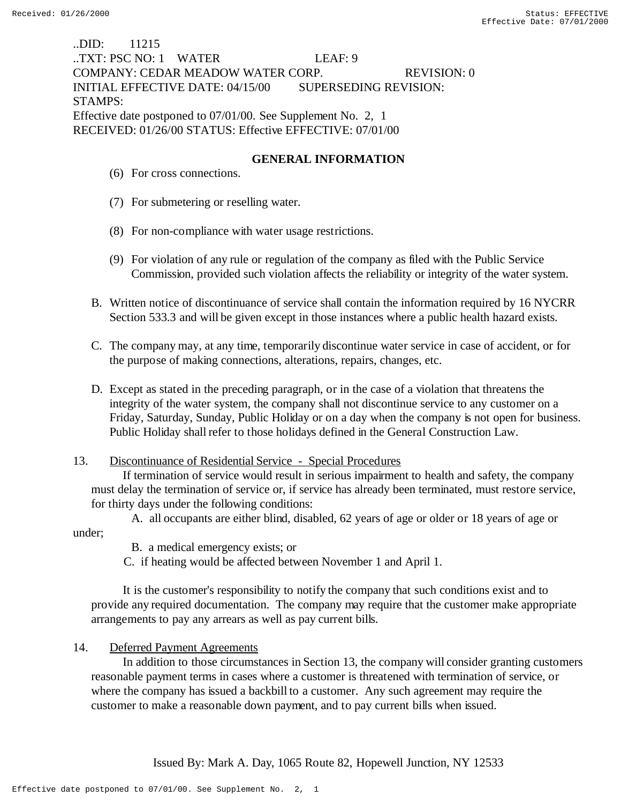# ..DID: 11215 ..TXT: PSC NO: 1 WATER LEAF: 9 COMPANY: CEDAR MEADOW WATER CORP. REVISION: 0 INITIAL EFFECTIVE DATE: 04/15/00 SUPERSEDING REVISION: STAMPS: Effective date postponed to 07/01/00. See Supplement No. 2, 1 RECEIVED: 01/26/00 STATUS: Effective EFFECTIVE: 07/01/00

# **GENERAL INFORMATION**

- (6) For cross connections.
- (7) For submetering or reselling water.
- (8) For non-compliance with water usage restrictions.
- (9) For violation of any rule or regulation of the company as filed with the Public Service Commission, provided such violation affects the reliability or integrity of the water system.
- B. Written notice of discontinuance of service shall contain the information required by 16 NYCRR Section 533.3 and will be given except in those instances where a public health hazard exists.
- C. The company may, at any time, temporarily discontinue water service in case of accident, or for the purpose of making connections, alterations, repairs, changes, etc.
- D. Except as stated in the preceding paragraph, or in the case of a violation that threatens the integrity of the water system, the company shall not discontinue service to any customer on a Friday, Saturday, Sunday, Public Holiday or on a day when the company is not open for business. Public Holiday shall refer to those holidays defined in the General Construction Law.

# 13. Discontinuance of Residential Service - Special Procedures

 If termination of service would result in serious impairment to health and safety, the company must delay the termination of service or, if service has already been terminated, must restore service, for thirty days under the following conditions:

A. all occupants are either blind, disabled, 62 years of age or older or 18 years of age or under;

B. a medical emergency exists; or

C. if heating would be affected between November 1 and April 1.

 It is the customer's responsibility to notify the company that such conditions exist and to provide any required documentation. The company may require that the customer make appropriate arrangements to pay any arrears as well as pay current bills.

# 14. Deferred Payment Agreements

 In addition to those circumstances in Section 13, the company will consider granting customers reasonable payment terms in cases where a customer is threatened with termination of service, or where the company has issued a backbill to a customer. Any such agreement may require the customer to make a reasonable down payment, and to pay current bills when issued.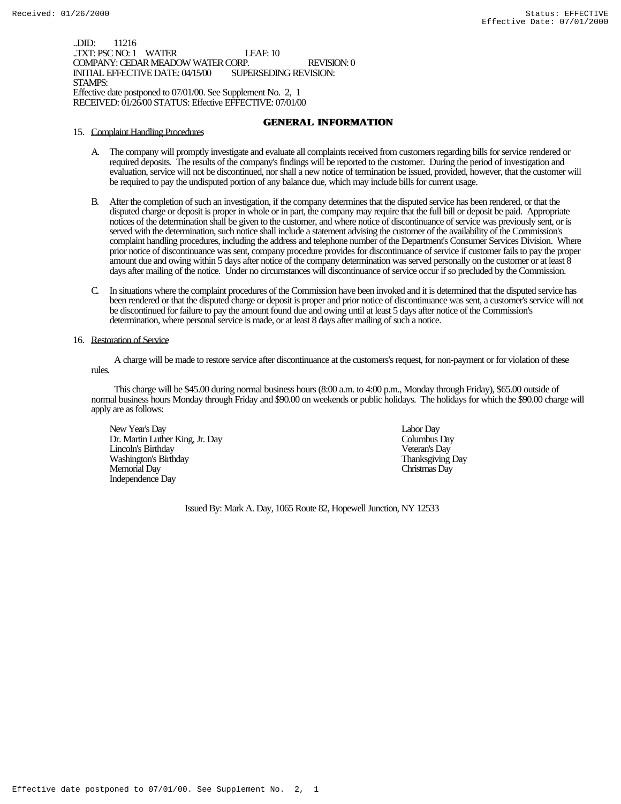..DID: 11216 TXT: PSC NO: 1 WATER LEAF: 10 COMPANY: CEDAR MEADOW WATER CORP. REVISION: 0 INITIAL EFFECTIVE DATE: 04/15/00 STAMPS: Effective date postponed to 07/01/00. See Supplement No. 2, 1 RECEIVED: 01/26/00 STATUS: Effective EFFECTIVE: 07/01/00

## **GENERAL INFORMATION**

### 15. Complaint Handling Procedures

- A. The company will promptly investigate and evaluate all complaints received from customers regarding bills for service rendered or required deposits. The results of the company's findings will be reported to the customer. During the period of investigation and evaluation, service will not be discontinued, nor shall a new notice of termination be issued, provided, however, that the customer will be required to pay the undisputed portion of any balance due, which may include bills for current usage.
- B. After the completion of such an investigation, if the company determines that the disputed service has been rendered, or that the disputed charge or deposit is proper in whole or in part, the company may require that the full bill or deposit be paid. Appropriate notices of the determination shall be given to the customer, and where notice of discontinuance of service was previously sent, or is served with the determination, such notice shall include a statement advising the customer of the availability of the Commission's complaint handling procedures, including the address and telephone number of the Department's Consumer Services Division. Where prior notice of discontinuance was sent, company procedure provides for discontinuance of service if customer fails to pay the proper amount due and owing within 5 days after notice of the company determination was served personally on the customer or at least  $8$ days after mailing of the notice. Under no circumstances will discontinuance of service occur if so precluded by the Commission.
- C. In situations where the complaint procedures of the Commission have been invoked and it is determined that the disputed service has been rendered or that the disputed charge or deposit is proper and prior notice of discontinuance was sent, a customer's service will not be discontinued for failure to pay the amount found due and owing until at least 5 days after notice of the Commission's determination, where personal service is made, or at least 8 days after mailing of such a notice.

### 16. Restoration of Service

 A charge will be made to restore service after discontinuance at the customers's request, for non-payment or for violation of these rules.

 This charge will be \$45.00 during normal business hours (8:00 a.m. to 4:00 p.m., Monday through Friday), \$65.00 outside of normal business hours Monday through Friday and \$90.00 on weekends or public holidays. The holidays for which the \$90.00 charge will apply are as follows:

New Year's Day Labor Day Dr. Martin Luther King, Jr. Day Columbus Day Lincoln's Birthday Veteran's Day Washington's Birthday Memorial Day Christmas Day Independence Day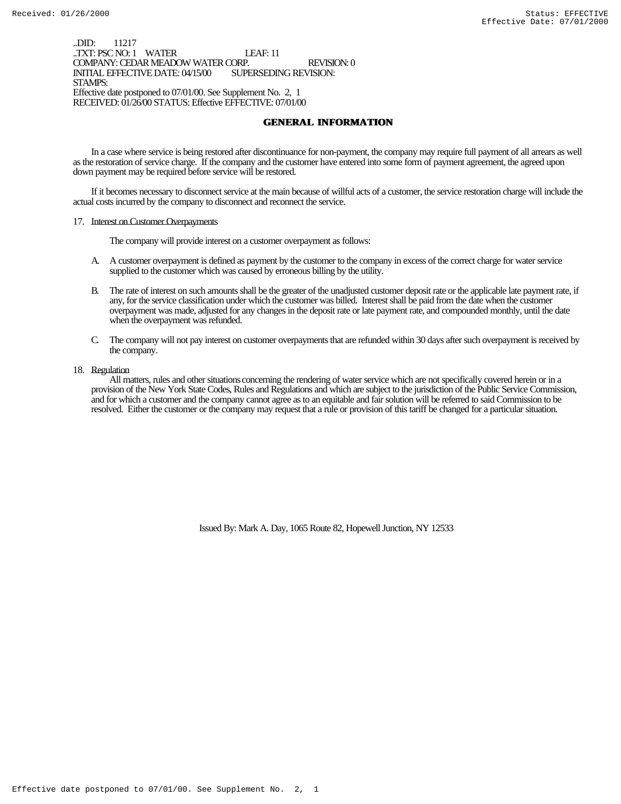..DID: 11217 ..TXT: PSC NO: 1 WATER LEAF: 11 COMPANY: CEDAR MEADOW WATER CORP. REVISION: 0 INITIAL EFFECTIVE DATE: 04/15/00 STAMPS: Effective date postponed to 07/01/00. See Supplement No. 2, 1 RECEIVED: 01/26/00 STATUS: Effective EFFECTIVE: 07/01/00

## **GENERAL INFORMATION**

In a case where service is being restored after discontinuance for non-payment, the company may require full payment of all arrears as well as the restoration of service charge. If the company and the customer have entered into some form of payment agreement, the agreed upon down payment may be required before service will be restored.

If it becomes necessary to disconnect service at the main because of willful acts of a customer, the service restoration charge will include the actual costs incurred by the company to disconnect and reconnect the service.

### 17. Interest on Customer Overpayments

The company will provide interest on a customer overpayment as follows:

- A. A customer overpayment is defined as payment by the customer to the company in excess of the correct charge for water service supplied to the customer which was caused by erroneous billing by the utility.
- B. The rate of interest on such amounts shall be the greater of the unadjusted customer deposit rate or the applicable late payment rate, if any, for the service classification under which the customer was billed. Interest shall be paid from the date when the customer overpayment was made, adjusted for any changes in the deposit rate or late payment rate, and compounded monthly, until the date when the overpayment was refunded.
- C. The company will not pay interest on customer overpayments that are refunded within 30 days after such overpayment is received by the company.

### 18. Regulation

 All matters, rules and other situations concerning the rendering of water service which are not specifically covered herein or in a provision of the New York State Codes, Rules and Regulations and which are subject to the jurisdiction of the Public Service Commission, and for which a customer and the company cannot agree as to an equitable and fair solution will be referred to said Commission to be resolved. Either the customer or the company may request that a rule or provision of this tariff be changed for a particular situation.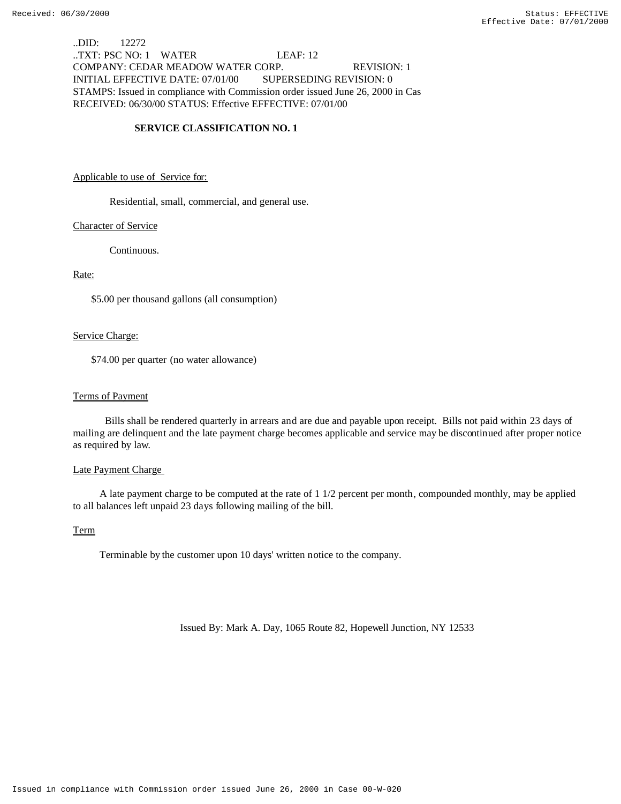..DID: 12272 ..TXT: PSC NO: 1 WATER LEAF: 12 COMPANY: CEDAR MEADOW WATER CORP. REVISION: 1 INITIAL EFFECTIVE DATE: 07/01/00 SUPERSEDING REVISION: 0 STAMPS: Issued in compliance with Commission order issued June 26, 2000 in Cas RECEIVED: 06/30/00 STATUS: Effective EFFECTIVE: 07/01/00

## **SERVICE CLASSIFICATION NO. 1**

### Applicable to use of Service for:

Residential, small, commercial, and general use.

### Character of Service

Continuous.

## Rate:

\$5.00 per thousand gallons (all consumption)

### Service Charge:

\$74.00 per quarter (no water allowance)

## Terms of Payment

 Bills shall be rendered quarterly in arrears and are due and payable upon receipt. Bills not paid within 23 days of mailing are delinquent and the late payment charge becomes applicable and service may be discontinued after proper notice as required by law.

## Late Payment Charge

 A late payment charge to be computed at the rate of 1 1/2 percent per month, compounded monthly, may be applied to all balances left unpaid 23 days following mailing of the bill.

### Term

Terminable by the customer upon 10 days' written notice to the company.